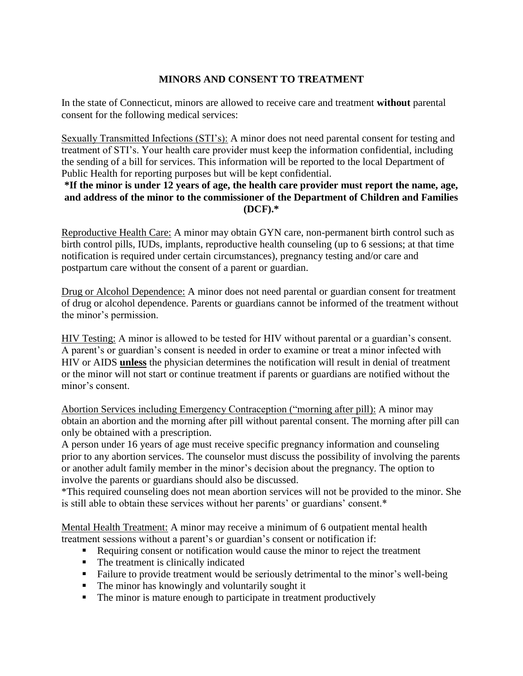# **MINORS AND CONSENT TO TREATMENT**

In the state of Connecticut, minors are allowed to receive care and treatment **without** parental consent for the following medical services:

Sexually Transmitted Infections (STI's): A minor does not need parental consent for testing and treatment of STI's. Your health care provider must keep the information confidential, including the sending of a bill for services. This information will be reported to the local Department of Public Health for reporting purposes but will be kept confidential.

## **\*If the minor is under 12 years of age, the health care provider must report the name, age, and address of the minor to the commissioner of the Department of Children and Families (DCF).\***

Reproductive Health Care: A minor may obtain GYN care, non-permanent birth control such as birth control pills, IUDs, implants, reproductive health counseling (up to 6 sessions; at that time notification is required under certain circumstances), pregnancy testing and/or care and postpartum care without the consent of a parent or guardian.

Drug or Alcohol Dependence: A minor does not need parental or guardian consent for treatment of drug or alcohol dependence. Parents or guardians cannot be informed of the treatment without the minor's permission.

HIV Testing: A minor is allowed to be tested for HIV without parental or a guardian's consent. A parent's or guardian's consent is needed in order to examine or treat a minor infected with HIV or AIDS **unless** the physician determines the notification will result in denial of treatment or the minor will not start or continue treatment if parents or guardians are notified without the minor's consent.

Abortion Services including Emergency Contraception ("morning after pill): A minor may obtain an abortion and the morning after pill without parental consent. The morning after pill can only be obtained with a prescription.

A person under 16 years of age must receive specific pregnancy information and counseling prior to any abortion services. The counselor must discuss the possibility of involving the parents or another adult family member in the minor's decision about the pregnancy. The option to involve the parents or guardians should also be discussed.

\*This required counseling does not mean abortion services will not be provided to the minor. She is still able to obtain these services without her parents' or guardians' consent.\*

Mental Health Treatment: A minor may receive a minimum of 6 outpatient mental health treatment sessions without a parent's or guardian's consent or notification if:

- Requiring consent or notification would cause the minor to reject the treatment
- The treatment is clinically indicated
- Failure to provide treatment would be seriously detrimental to the minor's well-being
- The minor has knowingly and voluntarily sought it
- The minor is mature enough to participate in treatment productively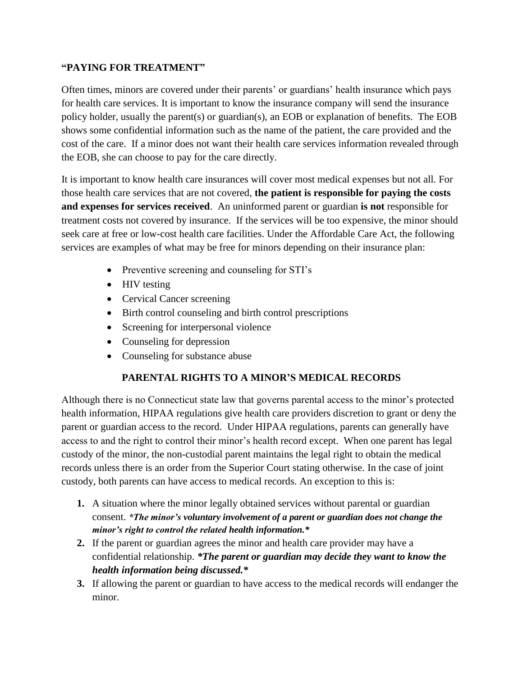# **"PAYING FOR TREATMENT"**

Often times, minors are covered under their parents' or guardians' health insurance which pays for health care services. It is important to know the insurance company will send the insurance policy holder, usually the parent(s) or guardian(s), an EOB or explanation of benefits. The EOB shows some confidential information such as the name of the patient, the care provided and the cost of the care. If a minor does not want their health care services information revealed through the EOB, she can choose to pay for the care directly.

It is important to know health care insurances will cover most medical expenses but not all. For those health care services that are not covered, **the patient is responsible for paying the costs and expenses for services received**. An uninformed parent or guardian **is not** responsible for treatment costs not covered by insurance. If the services will be too expensive, the minor should seek care at free or low-cost health care facilities. Under the Affordable Care Act, the following services are examples of what may be free for minors depending on their insurance plan:

- Preventive screening and counseling for STI's
- HIV testing
- Cervical Cancer screening
- Birth control counseling and birth control prescriptions
- Screening for interpersonal violence
- Counseling for depression
- Counseling for substance abuse

## **PARENTAL RIGHTS TO A MINOR'S MEDICAL RECORDS**

Although there is no Connecticut state law that governs parental access to the minor's protected health information, HIPAA regulations give health care providers discretion to grant or deny the parent or guardian access to the record. Under HIPAA regulations, parents can generally have access to and the right to control their minor's health record except. When one parent has legal custody of the minor, the non-custodial parent maintains the legal right to obtain the medical records unless there is an order from the Superior Court stating otherwise. In the case of joint custody, both parents can have access to medical records. An exception to this is:

- **1.** A situation where the minor legally obtained services without parental or guardian consent. *\*The minor's voluntary involvement of a parent or guardian does not change the minor's right to control the related health information.\**
- **2.** If the parent or guardian agrees the minor and health care provider may have a confidential relationship. *\*The parent or guardian may decide they want to know the health information being discussed.\**
- **3.** If allowing the parent or guardian to have access to the medical records will endanger the minor.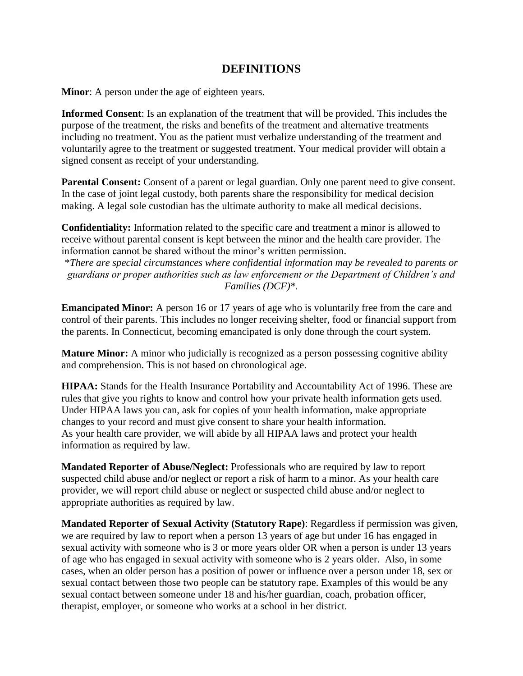# **DEFINITIONS**

**Minor**: A person under the age of eighteen years.

**Informed Consent**: Is an explanation of the treatment that will be provided. This includes the purpose of the treatment, the risks and benefits of the treatment and alternative treatments including no treatment. You as the patient must verbalize understanding of the treatment and voluntarily agree to the treatment or suggested treatment. Your medical provider will obtain a signed consent as receipt of your understanding.

**Parental Consent:** Consent of a parent or legal guardian. Only one parent need to give consent. In the case of joint legal custody, both parents share the responsibility for medical decision making. A legal sole custodian has the ultimate authority to make all medical decisions.

**Confidentiality:** Information related to the specific care and treatment a minor is allowed to receive without parental consent is kept between the minor and the health care provider. The information cannot be shared without the minor's written permission.

\**There are special circumstances where confidential information may be revealed to parents or guardians or proper authorities such as law enforcement or the Department of Children's and Families (DCF)\*.*

**Emancipated Minor:** A person 16 or 17 years of age who is voluntarily free from the care and control of their parents. This includes no longer receiving shelter, food or financial support from the parents. In Connecticut, becoming emancipated is only done through the court system.

**Mature Minor:** A minor who judicially is recognized as a person possessing cognitive ability and comprehension. This is not based on chronological age.

**HIPAA:** Stands for the Health Insurance Portability and Accountability Act of 1996. These are rules that give you rights to know and control how your private health information gets used. Under HIPAA laws you can, ask for copies of your health information, make appropriate changes to your record and must give consent to share your health information. As your health care provider, we will abide by all HIPAA laws and protect your health information as required by law.

**Mandated Reporter of Abuse/Neglect:** Professionals who are required by law to report suspected child abuse and/or neglect or report a risk of harm to a minor. As your health care provider, we will report child abuse or neglect or suspected child abuse and/or neglect to appropriate authorities as required by law.

**Mandated Reporter of Sexual Activity (Statutory Rape)**: Regardless if permission was given, we are required by law to report when a person 13 years of age but under 16 has engaged in sexual activity with someone who is 3 or more years older OR when a person is under 13 years of age who has engaged in sexual activity with someone who is 2 years older. Also, in some cases, when an older person has a position of power or influence over a person under 18, sex or sexual contact between those two people can be statutory rape. Examples of this would be any sexual contact between someone under 18 and his/her guardian, coach, probation officer, therapist, employer, or someone who works at a school in her district.